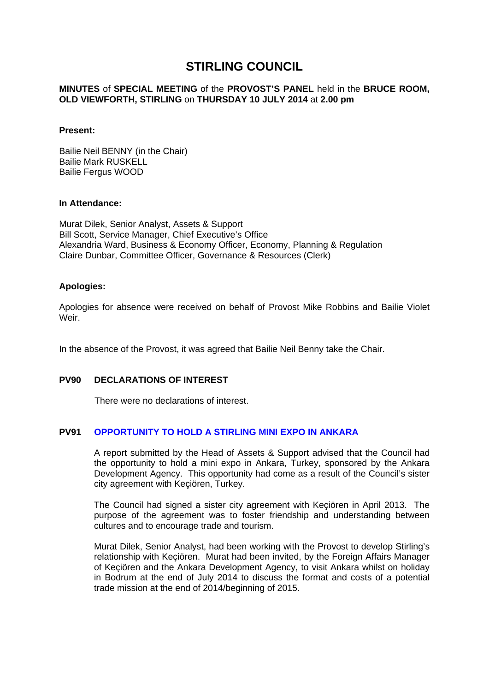# **STIRLING COUNCIL**

## **MINUTES** of **SPECIAL MEETING** of the **PROVOST'S PANEL** held in the **BRUCE ROOM, OLD VIEWFORTH, STIRLING** on **THURSDAY 10 JULY 2014** at **2.00 pm**

## **Present:**

Bailie Neil BENNY (in the Chair) Bailie Mark RUSKELL Bailie Fergus WOOD

### **In Attendance:**

Murat Dilek, Senior Analyst, Assets & Support Bill Scott, Service Manager, Chief Executive's Office Alexandria Ward, Business & Economy Officer, Economy, Planning & Regulation Claire Dunbar, Committee Officer, Governance & Resources (Clerk)

## **Apologies:**

Apologies for absence were received on behalf of Provost Mike Robbins and Bailie Violet Weir.

In the absence of the Provost, it was agreed that Bailie Neil Benny take the Chair.

# **PV90 DECLARATIONS OF INTEREST**

There were no declarations of interest.

# **PV91 OPPORTUNITY TO HOLD A STIRLING MINI EXPO IN ANKARA**

A report submitted by the Head of Assets & Support advised that the Council had the opportunity to hold a mini expo in Ankara, Turkey, sponsored by the Ankara Development Agency. This opportunity had come as a result of the Council's sister city agreement with Keçiören, Turkey.

The Council had signed a sister city agreement with Keçiören in April 2013. The purpose of the agreement was to foster friendship and understanding between cultures and to encourage trade and tourism.

Murat Dilek, Senior Analyst, had been working with the Provost to develop Stirling's relationship with Keçiören. Murat had been invited, by the Foreign Affairs Manager of Keçiören and the Ankara Development Agency, to visit Ankara whilst on holiday in Bodrum at the end of July 2014 to discuss the format and costs of a potential trade mission at the end of 2014/beginning of 2015.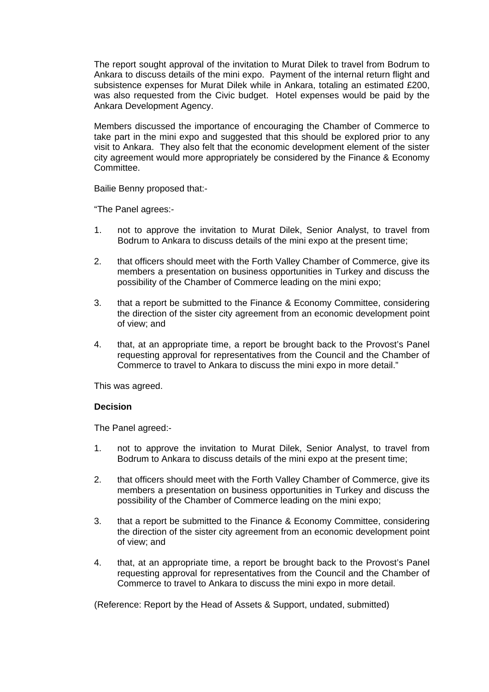The report sought approval of the invitation to Murat Dilek to travel from Bodrum to Ankara to discuss details of the mini expo. Payment of the internal return flight and subsistence expenses for Murat Dilek while in Ankara, totaling an estimated £200, was also requested from the Civic budget. Hotel expenses would be paid by the Ankara Development Agency.

Members discussed the importance of encouraging the Chamber of Commerce to take part in the mini expo and suggested that this should be explored prior to any visit to Ankara. They also felt that the economic development element of the sister city agreement would more appropriately be considered by the Finance & Economy Committee.

Bailie Benny proposed that:-

"The Panel agrees:-

- 1. not to approve the invitation to Murat Dilek, Senior Analyst, to travel from Bodrum to Ankara to discuss details of the mini expo at the present time;
- 2. that officers should meet with the Forth Valley Chamber of Commerce, give its members a presentation on business opportunities in Turkey and discuss the possibility of the Chamber of Commerce leading on the mini expo;
- 3. that a report be submitted to the Finance & Economy Committee, considering the direction of the sister city agreement from an economic development point of view; and
- 4. that, at an appropriate time, a report be brought back to the Provost's Panel requesting approval for representatives from the Council and the Chamber of Commerce to travel to Ankara to discuss the mini expo in more detail."

This was agreed.

### **Decision**

The Panel agreed:-

- 1. not to approve the invitation to Murat Dilek, Senior Analyst, to travel from Bodrum to Ankara to discuss details of the mini expo at the present time;
- 2. that officers should meet with the Forth Valley Chamber of Commerce, give its members a presentation on business opportunities in Turkey and discuss the possibility of the Chamber of Commerce leading on the mini expo;
- 3. that a report be submitted to the Finance & Economy Committee, considering the direction of the sister city agreement from an economic development point of view; and
- 4. that, at an appropriate time, a report be brought back to the Provost's Panel requesting approval for representatives from the Council and the Chamber of Commerce to travel to Ankara to discuss the mini expo in more detail.

(Reference: Report by the Head of Assets & Support, undated, submitted)